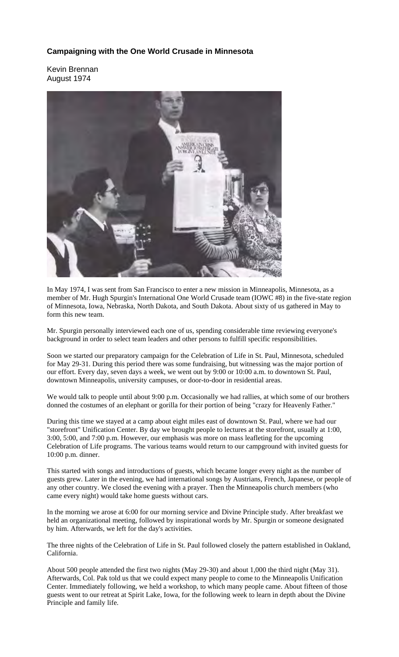## **Campaigning with the One World Crusade in Minnesota**

Kevin Brennan August 1974



In May 1974, I was sent from San Francisco to enter a new mission in Minneapolis, Minnesota, as a member of Mr. Hugh Spurgin's International One World Crusade team (IOWC #8) in the five-state region of Minnesota, Iowa, Nebraska, North Dakota, and South Dakota. About sixty of us gathered in May to form this new team.

Mr. Spurgin personally interviewed each one of us, spending considerable time reviewing everyone's background in order to select team leaders and other persons to fulfill specific responsibilities.

Soon we started our preparatory campaign for the Celebration of Life in St. Paul, Minnesota, scheduled for May 29-31. During this period there was some fundraising, but witnessing was the major portion of our effort. Every day, seven days a week, we went out by 9:00 or 10:00 a.m. to downtown St. Paul, downtown Minneapolis, university campuses, or door-to-door in residential areas.

We would talk to people until about 9:00 p.m. Occasionally we had rallies, at which some of our brothers donned the costumes of an elephant or gorilla for their portion of being "crazy for Heavenly Father."

During this time we stayed at a camp about eight miles east of downtown St. Paul, where we had our "storefront" Unification Center. By day we brought people to lectures at the storefront, usually at 1:00, 3:00, 5:00, and 7:00 p.m. However, our emphasis was more on mass leafleting for the upcoming Celebration of Life programs. The various teams would return to our campground with invited guests for 10:00 p.m. dinner.

This started with songs and introductions of guests, which became longer every night as the number of guests grew. Later in the evening, we had international songs by Austrians, French, Japanese, or people of any other country. We closed the evening with a prayer. Then the Minneapolis church members (who came every night) would take home guests without cars.

In the morning we arose at 6:00 for our morning service and Divine Principle study. After breakfast we held an organizational meeting, followed by inspirational words by Mr. Spurgin or someone designated by him. Afterwards, we left for the day's activities.

The three nights of the Celebration of Life in St. Paul followed closely the pattern established in Oakland, California.

About 500 people attended the first two nights (May 29-30) and about 1,000 the third night (May 31). Afterwards, Col. Pak told us that we could expect many people to come to the Minneapolis Unification Center. Immediately following, we held a workshop, to which many people came. About fifteen of those guests went to our retreat at Spirit Lake, Iowa, for the following week to learn in depth about the Divine Principle and family life.